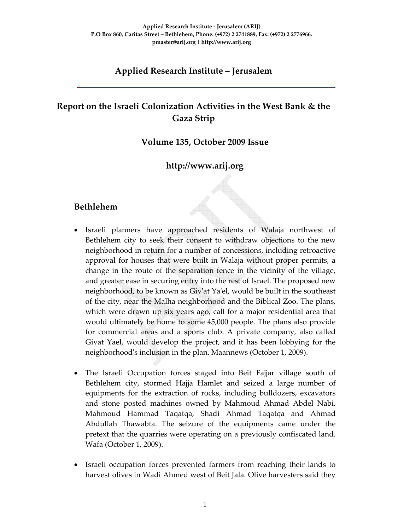## **Applied Research Institute – Jerusalem**

## **Report on the Israeli Colonization Activities in the West Bank & the Gaza Strip**

#### **Volume 135, October 2009 Issue**

## **http://www.arij.org**

#### **Bethlehem**

- Israeli planners have approached residents of Walaja northwest of Bethlehem city to seek their consent to withdraw objections to the new neighborhood in return for a number of concessions, including retroactive approval for houses that were built in Walaja without proper permits, a change in the route of the separation fence in the vicinity of the village, and greater ease in securing entry into the rest of Israel. The proposed new neighborhood, to be known as Givʹat Yaʹel, would be built in the southeast of the city, near the Malha neighborhood and the Biblical Zoo. The plans, which were drawn up six years ago, call for a major residential area that would ultimately be home to some 45,000 people. The plans also provide for commercial areas and a sports club. A private company, also called Givat Yael, would develop the project, and it has been lobbying for the neighborhood's inclusion in the plan. Maannews (October 1, 2009).
- The Israeli Occupation forces staged into Beit Fajjar village south of Bethlehem city, stormed Hajja Hamlet and seized a large number of equipments for the extraction of rocks, including bulldozers, excavators and stone posted machines owned by Mahmoud Ahmad Abdel Nabi, Mahmoud Hammad Taqatqa, Shadi Ahmad Taqatqa and Ahmad Abdullah Thawabta. The seizure of the equipments came under the pretext that the quarries were operating on a previously confiscated land. Wafa (October 1, 2009).
- Israeli occupation forces prevented farmers from reaching their lands to harvest olives in Wadi Ahmed west of Beit Jala. Olive harvesters said they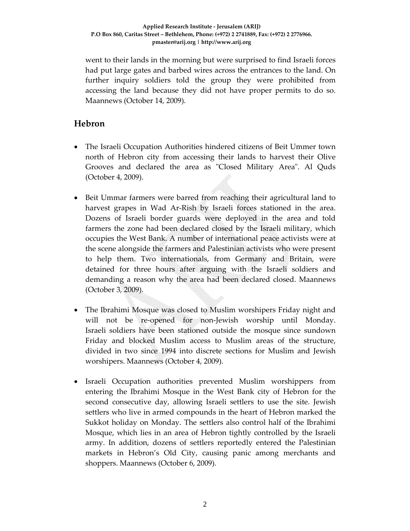went to their lands in the morning but were surprised to find Israeli forces had put large gates and barbed wires across the entrances to the land. On further inquiry soldiers told the group they were prohibited from accessing the land because they did not have proper permits to do so. Maannews (October 14, 2009).

## **Hebron**

- The Israeli Occupation Authorities hindered citizens of Beit Ummer town north of Hebron city from accessing their lands to harvest their Olive Grooves and declared the area as "Closed Military Area". Al Quds (October 4, 2009).
- Beit Ummar farmers were barred from reaching their agricultural land to harvest grapes in Wad Ar-Rish by Israeli forces stationed in the area. Dozens of Israeli border guards were deployed in the area and told farmers the zone had been declared closed by the Israeli military, which occupies the West Bank. A number of international peace activists were at the scene alongside the farmers and Palestinian activists who were present to help them. Two internationals, from Germany and Britain, were detained for three hours after arguing with the Israeli soldiers and demanding a reason why the area had been declared closed. Maannews (October 3, 2009).
- The Ibrahimi Mosque was closed to Muslim worshipers Friday night and will not be re-opened for non-Jewish worship until Monday. Israeli soldiers have been stationed outside the mosque since sundown Friday and blocked Muslim access to Muslim areas of the structure, divided in two since 1994 into discrete sections for Muslim and Jewish worshipers. Maannews (October 4, 2009).
- Israeli Occupation authorities prevented Muslim worshippers from entering the Ibrahimi Mosque in the West Bank city of Hebron for the second consecutive day, allowing Israeli settlers to use the site. Jewish settlers who live in armed compounds in the heart of Hebron marked the Sukkot holiday on Monday. The settlers also control half of the Ibrahimi Mosque, which lies in an area of Hebron tightly controlled by the Israeli army. In addition, dozens of settlers reportedly entered the Palestinian markets in Hebron's Old City, causing panic among merchants and shoppers. Maannews (October 6, 2009).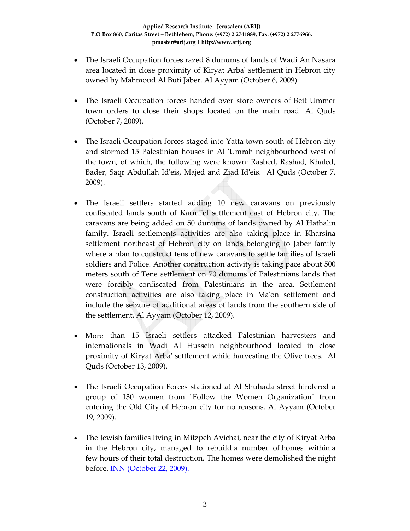- The Israeli Occupation forces razed 8 dunums of lands of Wadi An Nasara area located in close proximity of Kiryat Arbaʹ settlement in Hebron city owned by Mahmoud Al Buti Jaber. Al Ayyam (October 6, 2009).
- The Israeli Occupation forces handed over store owners of Beit Ummer town orders to close their shops located on the main road. Al Quds (October 7, 2009).
- The Israeli Occupation forces staged into Yatta town south of Hebron city and stormed 15 Palestinian houses in Al 'Umrah neighbourhood west of the town, of which, the following were known: Rashed, Rashad, Khaled, Bader, Saqr Abdullah Id'eis, Majed and Ziad Id'eis. Al Quds (October 7, 2009).
- The Israeli settlers started adding 10 new caravans on previously confiscated lands south of Karmiʹel settlement east of Hebron city. The caravans are being added on 50 dunums of lands owned by Al Hathalin family. Israeli settlements activities are also taking place in Kharsina settlement northeast of Hebron city on lands belonging to Jaber family where a plan to construct tens of new caravans to settle families of Israeli soldiers and Police. Another construction activity is taking pace about 500 meters south of Tene settlement on 70 dunums of Palestinians lands that were forcibly confiscated from Palestinians in the area. Settlement construction activities are also taking place in Maʹon settlement and include the seizure of additional areas of lands from the southern side of the settlement. Al Ayyam (October 12, 2009).
- More than 15 Israeli settlers attacked Palestinian harvesters and internationals in Wadi Al Hussein neighbourhood located in close proximity of Kiryat Arbaʹ settlement while harvesting the Olive trees. Al Quds (October 13, 2009).
- The Israeli Occupation Forces stationed at Al Shuhada street hindered a group of 130 women from "Follow the Women Organization" from entering the Old City of Hebron city for no reasons. Al Ayyam (October 19, 2009).
- The Jewish families living in Mitzpeh Avichai, near the city of Kiryat Arba in the Hebron city, managed to rebuild a number of homes within a few hours of their total destruction. The homes were demolished the night before. INN (October 22, 2009).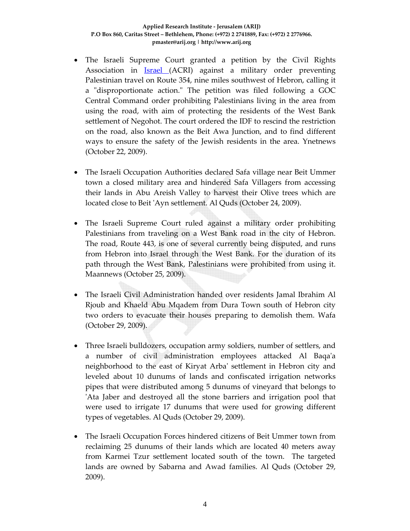- The Israeli Supreme Court granted a petition by the Civil Rights Association in Israel (ACRI) against a military order preventing Palestinian travel on Route 354, nine miles southwest of Hebron, calling it a "disproportionate action." The petition was filed following a GOC Central Command order prohibiting Palestinians living in the area from using the road, with aim of protecting the residents of the West Bank settlement of Negohot. The court ordered the IDF to rescind the restriction on the road, also known as the Beit Awa Junction, and to find different ways to ensure the safety of the Jewish residents in the area. Ynetnews (October 22, 2009).
- The Israeli Occupation Authorities declared Safa village near Beit Ummer town a closed military area and hindered Safa Villagers from accessing their lands in Abu Areish Valley to harvest their Olive trees which are located close to Beit ʹAyn settlement. Al Quds (October 24, 2009).
- The Israeli Supreme Court ruled against a military order prohibiting Palestinians from traveling on a West Bank road in the city of Hebron. The road, Route 443, is one of several currently being disputed, and runs from Hebron into Israel through the West Bank. For the duration of its path through the West Bank, Palestinians were prohibited from using it. Maannews (October 25, 2009).
- The Israeli Civil Administration handed over residents Jamal Ibrahim Al Rjoub and Khaeld Abu Mqadem from Dura Town south of Hebron city two orders to evacuate their houses preparing to demolish them. Wafa (October 29, 2009).
- Three Israeli bulldozers, occupation army soldiers, number of settlers, and a number of civil administration employees attacked Al Baqaʹa neighborhood to the east of Kiryat Arbaʹ settlement in Hebron city and leveled about 10 dunums of lands and confiscated irrigation networks pipes that were distributed among 5 dunums of vineyard that belongs to ʹAta Jaber and destroyed all the stone barriers and irrigation pool that were used to irrigate 17 dunums that were used for growing different types of vegetables. Al Quds (October 29, 2009).
- The Israeli Occupation Forces hindered citizens of Beit Ummer town from reclaiming 25 dunums of their lands which are located 40 meters away from Karmei Tzur settlement located south of the town. The targeted lands are owned by Sabarna and Awad families. Al Quds (October 29, 2009).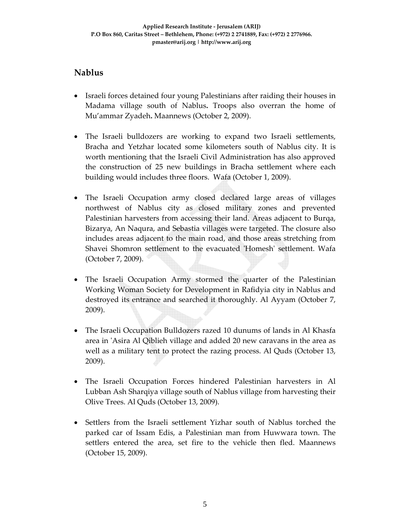## **Nablus**

- Israeli forces detained four young Palestinians after raiding their houses in Madama village south of Nablus**.** Troops also overran the home of Mu'ammar Zyadeh**.** Maannews (October 2, 2009).
- The Israeli bulldozers are working to expand two Israeli settlements, Bracha and Yetzhar located some kilometers south of Nablus city. It is worth mentioning that the Israeli Civil Administration has also approved the construction of 25 new buildings in Bracha settlement where each building would includes three floors. Wafa (October 1, 2009).
- The Israeli Occupation army closed declared large areas of villages northwest of Nablus city as closed military zones and prevented Palestinian harvesters from accessing their land. Areas adjacent to Burqa, Bizarya, An Naqura, and Sebastia villages were targeted. The closure also includes areas adjacent to the main road, and those areas stretching from Shavei Shomron settlement to the evacuated 'Homesh' settlement. Wafa (October 7, 2009).
- The Israeli Occupation Army stormed the quarter of the Palestinian Working Woman Society for Development in Rafidyia city in Nablus and destroyed its entrance and searched it thoroughly. Al Ayyam (October 7, 2009).
- The Israeli Occupation Bulldozers razed 10 dunums of lands in Al Khasfa area in ʹAsira Al Qiblieh village and added 20 new caravans in the area as well as a military tent to protect the razing process. Al Quds (October 13, 2009).
- The Israeli Occupation Forces hindered Palestinian harvesters in Al Lubban Ash Sharqiya village south of Nablus village from harvesting their Olive Trees. Al Quds (October 13, 2009).
- Settlers from the Israeli settlement Yizhar south of Nablus torched the parked car of Issam Edis, a Palestinian man from Huwwara town. The settlers entered the area, set fire to the vehicle then fled. Maannews (October 15, 2009).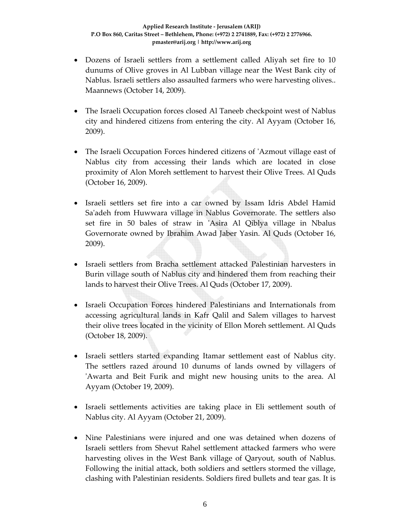- Dozens of Israeli settlers from a settlement called Aliyah set fire to 10 dunums of Olive groves in Al Lubban village near the West Bank city of Nablus. Israeli settlers also assaulted farmers who were harvesting olives.. Maannews (October 14, 2009).
- The Israeli Occupation forces closed Al Taneeb checkpoint west of Nablus city and hindered citizens from entering the city. Al Ayyam (October 16, 2009).
- The Israeli Occupation Forces hindered citizens of 'Azmout village east of Nablus city from accessing their lands which are located in close proximity of Alon Moreh settlement to harvest their Olive Trees. Al Quds (October 16, 2009).
- Israeli settlers set fire into a car owned by Issam Idris Abdel Hamid Saʹadeh from Huwwara village in Nablus Governorate. The settlers also set fire in 50 bales of straw in 'Asira Al Qiblya village in Nbalus Governorate owned by Ibrahim Awad Jaber Yasin. Al Quds (October 16, 2009).
- Israeli settlers from Bracha settlement attacked Palestinian harvesters in Burin village south of Nablus city and hindered them from reaching their lands to harvest their Olive Trees. Al Quds (October 17, 2009).
- Israeli Occupation Forces hindered Palestinians and Internationals from accessing agricultural lands in Kafr Qalil and Salem villages to harvest their olive trees located in the vicinity of Ellon Moreh settlement. Al Quds (October 18, 2009).
- Israeli settlers started expanding Itamar settlement east of Nablus city. The settlers razed around 10 dunums of lands owned by villagers of ʹAwarta and Beit Furik and might new housing units to the area. Al Ayyam (October 19, 2009).
- Israeli settlements activities are taking place in Eli settlement south of Nablus city. Al Ayyam (October 21, 2009).
- Nine Palestinians were injured and one was detained when dozens of Israeli settlers from Shevut Rahel settlement attacked farmers who were harvesting olives in the West Bank village of Qaryout, south of Nablus. Following the initial attack, both soldiers and settlers stormed the village, clashing with Palestinian residents. Soldiers fired bullets and tear gas. It is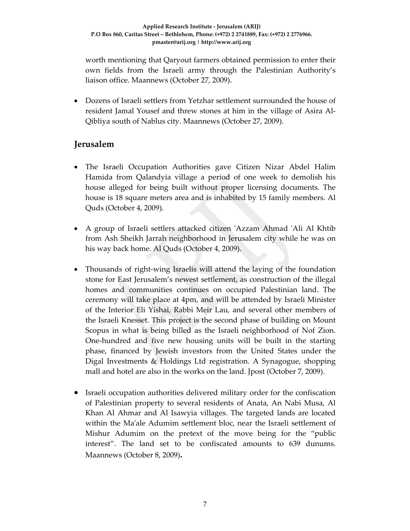worth mentioning that Qaryout farmers obtained permission to enter their own fields from the Israeli army through the Palestinian Authority's liaison office. Maannews (October 27, 2009).

• Dozens of Israeli settlers from Yetzhar settlement surrounded the house of resident Jamal Yousef and threw stones at him in the village of Asira Al‐ Qibliya south of Nablus city. Maannews (October 27, 2009).

## **Jerusalem**

- The Israeli Occupation Authorities gave Citizen Nizar Abdel Halim Hamida from Qalandyia village a period of one week to demolish his house alleged for being built without proper licensing documents. The house is 18 square meters area and is inhabited by 15 family members. Al Quds (October 4, 2009).
- A group of Israeli settlers attacked citizen 'Azzam Ahmad 'Ali Al Khtib from Ash Sheikh Jarrah neighborhood in Jerusalem city while he was on his way back home. Al Quds (October 4, 2009).
- Thousands of right-wing Israelis will attend the laying of the foundation stone for East Jerusalem's newest settlement, as construction of the illegal homes and communities continues on occupied Palestinian land. The ceremony will take place at 4pm, and will be attended by Israeli Minister of the Interior Eli Yishai, Rabbi Meir Lau, and several other members of the Israeli Knesset. This project is the second phase of building on Mount Scopus in what is being billed as the Israeli neighborhood of Nof Zion. One‐hundred and five new housing units will be built in the starting phase, financed by Jewish investors from the United States under the Digal Investments & Holdings Ltd registration. A Synagogue, shopping mall and hotel are also in the works on the land. Jpost (October 7, 2009).
- Israeli occupation authorities delivered military order for the confiscation of Palestinian property to several residents of Anata, An Nabi Musa, Al Khan Al Ahmar and Al Isawyia villages. The targeted lands are located within the Ma'ale Adumim settlement bloc, near the Israeli settlement of Mishur Adumim on the pretext of the move being for the "public interest". The land set to be confiscated amounts to 639 dunums. Maannews (October 8, 2009)**.**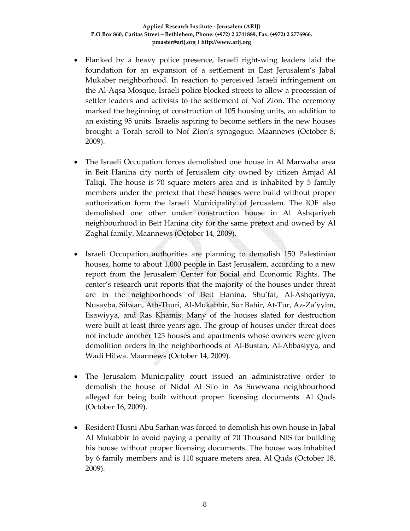- Flanked by a heavy police presence, Israeli right-wing leaders laid the foundation for an expansion of a settlement in East Jerusalem's Jabal Mukaber neighborhood. In reaction to perceived Israeli infringement on the Al‐Aqsa Mosque, Israeli police blocked streets to allow a procession of settler leaders and activists to the settlement of Nof Zion. The ceremony marked the beginning of construction of 105 housing units, an addition to an existing 95 units. Israelis aspiring to become settlers in the new houses brought a Torah scroll to Nof Zion's synagogue. Maannews (October 8, 2009).
- The Israeli Occupation forces demolished one house in Al Marwaha area in Beit Hanina city north of Jerusalem city owned by citizen Amjad Al Taliqi. The house is 70 square meters area and is inhabited by 5 family members under the pretext that these houses were build without proper authorization form the Israeli Municipality of Jerusalem. The IOF also demolished one other under construction house in Al Ashqariyeh neighbourhood in Beit Hanina city for the same pretext and owned by Al Zaghal family. Maannews (October 14, 2009).
- Israeli Occupation authorities are planning to demolish 150 Palestinian houses, home to about 1,000 people in East Jerusalem, according to a new report from the Jerusalem Center for Social and Economic Rights. The center's research unit reports that the majority of the houses under threat are in the neighborhoods of Beit Hanina, Shu'fat, Al‐Ashqariyya, Nusayba, Silwan, Ath‐Thuri, Al‐Mukabbir, Sur Bahir, At‐Tur, Az‐Za'yyim, Iisawiyya, and Ras Khamis. Many of the houses slated for destruction were built at least three years ago. The group of houses under threat does not include another 125 houses and apartments whose owners were given demolition orders in the neighborhoods of Al‐Bustan, Al‐Abbasiyya, and Wadi Hilwa. Maannews (October 14, 2009).
- The Jerusalem Municipality court issued an administrative order to demolish the house of Nidal Al Siʹo in As Suwwana neighbourhood alleged for being built without proper licensing documents. Al Quds (October 16, 2009).
- Resident Husni Abu Sarhan was forced to demolish his own house in Jabal Al Mukabbir to avoid paying a penalty of 70 Thousand NIS for building his house without proper licensing documents. The house was inhabited by 6 family members and is 110 square meters area. Al Quds (October 18, 2009).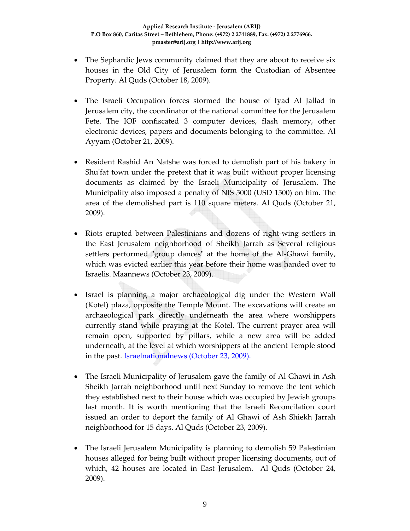- The Sephardic Jews community claimed that they are about to receive six houses in the Old City of Jerusalem form the Custodian of Absentee Property. Al Quds (October 18, 2009).
- The Israeli Occupation forces stormed the house of Iyad Al Jallad in Jerusalem city, the coordinator of the national committee for the Jerusalem Fete. The IOF confiscated 3 computer devices, flash memory, other electronic devices, papers and documents belonging to the committee. Al Ayyam (October 21, 2009).
- Resident Rashid An Natshe was forced to demolish part of his bakery in Shu'fat town under the pretext that it was built without proper licensing documents as claimed by the Israeli Municipality of Jerusalem. The Municipality also imposed a penalty of NIS 5000 (USD 1500) on him. The area of the demolished part is 110 square meters. Al Quds (October 21, 2009).
- Riots erupted between Palestinians and dozens of right‐wing settlers in the East Jerusalem neighborhood of Sheikh Jarrah as Several religious settlers performed "group dances" at the home of the Al-Ghawi family, which was evicted earlier this year before their home was handed over to Israelis. Maannews (October 23, 2009).
- Israel is planning a major archaeological dig under the Western Wall (Kotel) plaza, opposite the Temple Mount. The excavations will create an archaeological park directly underneath the area where worshippers currently stand while praying at the Kotel. The current prayer area will remain open, supported by pillars, while a new area will be added underneath, at the level at which worshippers at the ancient Temple stood in the past. Israelnationalnews (October 23, 2009).
- The Israeli Municipality of Jerusalem gave the family of Al Ghawi in Ash Sheikh Jarrah neighborhood until next Sunday to remove the tent which they established next to their house which was occupied by Jewish groups last month. It is worth mentioning that the Israeli Reconcilation court issued an order to deport the family of Al Ghawi of Ash Shiekh Jarrah neighborhood for 15 days. Al Quds (October 23, 2009).
- The Israeli Jerusalem Municipality is planning to demolish 59 Palestinian houses alleged for being built without proper licensing documents, out of which, 42 houses are located in East Jerusalem. Al Quds (October 24, 2009).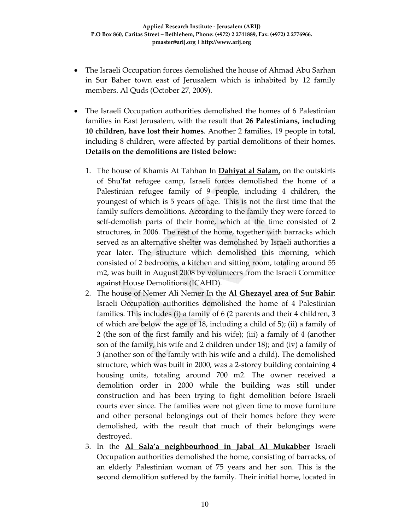- The Israeli Occupation forces demolished the house of Ahmad Abu Sarhan in Sur Baher town east of Jerusalem which is inhabited by 12 family members. Al Quds (October 27, 2009).
- The Israeli Occupation authorities demolished the homes of 6 Palestinian families in East Jerusalem, with the result that **26 Palestinians, including 10 children, have lost their homes**. Another 2 families, 19 people in total, including 8 children, were affected by partial demolitions of their homes. **Details on the demolitions are listed below:**
	- 1. The house of Khamis At Tahhan In **Dahiyat al Salam,** on the outskirts of Shuʹfat refugee camp, Israeli forces demolished the home of a Palestinian refugee family of 9 people, including 4 children, the youngest of which is 5 years of age. This is not the first time that the family suffers demolitions. According to the family they were forced to self-demolish parts of their home, which at the time consisted of 2 structures, in 2006. The rest of the home, together with barracks which served as an alternative shelter was demolished by Israeli authorities a year later. The structure which demolished this morning, which consisted of 2 bedrooms, a kitchen and sitting room, totaling around 55 m2, was built in August 2008 by volunteers from the Israeli Committee against House Demolitions (ICAHD).
	- 2. The house of Nemer Ali Nemer In the **Al Ghezayel area of Sur Bahir**: Israeli Occupation authorities demolished the home of 4 Palestinian families. This includes (i) a family of 6 (2 parents and their 4 children, 3 of which are below the age of 18, including a child of 5); (ii) a family of 2 (the son of the first family and his wife); (iii) a family of 4 (another son of the family, his wife and 2 children under 18); and (iv) a family of 3 (another son of the family with his wife and a child). The demolished structure, which was built in 2000, was a 2‐storey building containing 4 housing units, totaling around 700 m2. The owner received a demolition order in 2000 while the building was still under construction and has been trying to fight demolition before Israeli courts ever since. The families were not given time to move furniture and other personal belongings out of their homes before they were demolished, with the result that much of their belongings were destroyed.
	- 3. In the **Al Sala'a neighbourhood in Jabal Al Mukabber** Israeli Occupation authorities demolished the home, consisting of barracks, of an elderly Palestinian woman of 75 years and her son. This is the second demolition suffered by the family. Their initial home, located in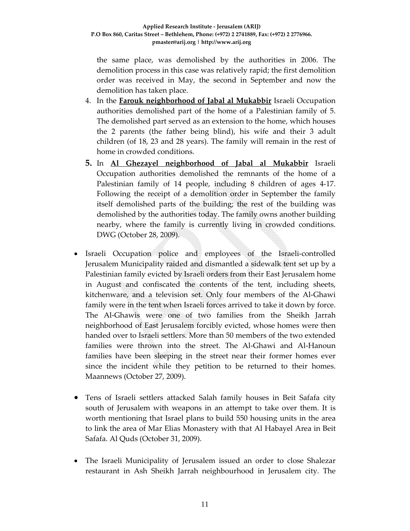the same place, was demolished by the authorities in 2006. The demolition process in this case was relatively rapid; the first demolition order was received in May, the second in September and now the demolition has taken place.

- 4. In the **Farouk neighborhood of Jabal al Mukabbir** Israeli Occupation authorities demolished part of the home of a Palestinian family of 5. The demolished part served as an extension to the home, which houses the 2 parents (the father being blind), his wife and their 3 adult children (of 18, 23 and 28 years). The family will remain in the rest of home in crowded conditions.
- **5.** In **Al Ghezayel neighborhood of Jabal al Mukabbir** Israeli Occupation authorities demolished the remnants of the home of a Palestinian family of 14 people, including 8 children of ages 4‐17. Following the receipt of a demolition order in September the family itself demolished parts of the building; the rest of the building was demolished by the authorities today. The family owns another building nearby, where the family is currently living in crowded conditions. DWG (October 28, 2009).
- Israeli Occupation police and employees of the Israeli‐controlled Jerusalem Municipality raided and dismantled a sidewalk tent set up by a Palestinian family evicted by Israeli orders from their East Jerusalem home in August and confiscated the contents of the tent, including sheets, kitchenware, and a television set. Only four members of the Al‐Ghawi family were in the tent when Israeli forces arrived to take it down by force. The Al-Ghawis were one of two families from the Sheikh Jarrah neighborhood of East Jerusalem forcibly evicted, whose homes were then handed over to Israeli settlers. More than 50 members of the two extended families were thrown into the street. The Al-Ghawi and Al-Hanoun families have been sleeping in the street near their former homes ever since the incident while they petition to be returned to their homes. Maannews (October 27, 2009).
- Tens of Israeli settlers attacked Salah family houses in Beit Safafa city south of Jerusalem with weapons in an attempt to take over them. It is worth mentioning that Israel plans to build 550 housing units in the area to link the area of Mar Elias Monastery with that Al Habayel Area in Beit Safafa. Al Quds (October 31, 2009).
- The Israeli Municipality of Jerusalem issued an order to close Shalezar restaurant in Ash Sheikh Jarrah neighbourhood in Jerusalem city. The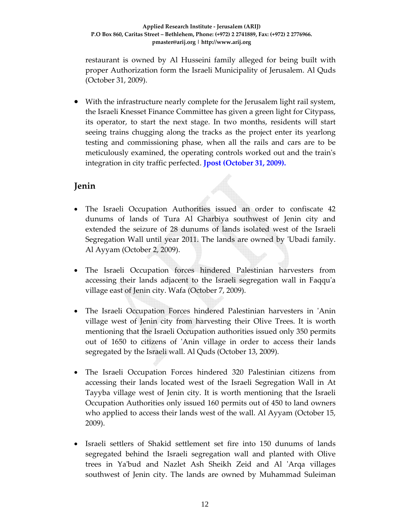restaurant is owned by Al Husseini family alleged for being built with proper Authorization form the Israeli Municipality of Jerusalem. Al Quds (October 31, 2009).

• With the infrastructure nearly complete for the Jerusalem light rail system, the Israeli Knesset Finance Committee has given a green light for Citypass, its operator, to start the next stage. In two months, residents will start seeing trains chugging along the tracks as the project enter its yearlong testing and commissioning phase, when all the rails and cars are to be meticulously examined, the operating controls worked out and the trainʹs integration in city traffic perfected. **Jpost (October 31, 2009).**

## **Jenin**

- The Israeli Occupation Authorities issued an order to confiscate 42 dunums of lands of Tura Al Gharbiya southwest of Jenin city and extended the seizure of 28 dunums of lands isolated west of the Israeli Segregation Wall until year 2011. The lands are owned by 'Ubadi family. Al Ayyam (October 2, 2009).
- The Israeli Occupation forces hindered Palestinian harvesters from accessing their lands adjacent to the Israeli segregation wall in Faqqu'a village east of Jenin city. Wafa (October 7, 2009).
- The Israeli Occupation Forces hindered Palestinian harvesters in 'Anin village west of Jenin city from harvesting their Olive Trees. It is worth mentioning that the Israeli Occupation authorities issued only 350 permits out of 1650 to citizens of ʹAnin village in order to access their lands segregated by the Israeli wall. Al Quds (October 13, 2009).
- The Israeli Occupation Forces hindered 320 Palestinian citizens from accessing their lands located west of the Israeli Segregation Wall in At Tayyba village west of Jenin city. It is worth mentioning that the Israeli Occupation Authorities only issued 160 permits out of 450 to land owners who applied to access their lands west of the wall. Al Ayyam (October 15, 2009).
- Israeli settlers of Shakid settlement set fire into 150 dunums of lands segregated behind the Israeli segregation wall and planted with Olive trees in Yaʹbud and Nazlet Ash Sheikh Zeid and Al ʹArqa villages southwest of Jenin city. The lands are owned by Muhammad Suleiman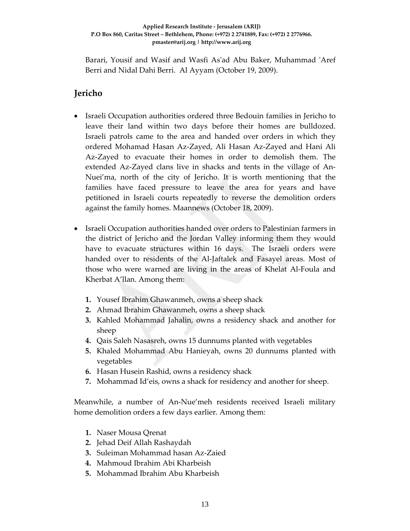Barari, Yousif and Wasif and Wasfi As'ad Abu Baker, Muhammad 'Aref Berri and Nidal Dahi Berri. Al Ayyam (October 19, 2009).

## **Jericho**

- Israeli Occupation authorities ordered three Bedouin families in Jericho to leave their land within two days before their homes are bulldozed. Israeli patrols came to the area and handed over orders in which they ordered Mohamad Hasan Az‐Zayed, Ali Hasan Az‐Zayed and Hani Ali Az‐Zayed to evacuate their homes in order to demolish them. The extended Az‐Zayed clans live in shacks and tents in the village of An‐ Nuei'ma, north of the city of Jericho. It is worth mentioning that the families have faced pressure to leave the area for years and have petitioned in Israeli courts repeatedly to reverse the demolition orders against the family homes. Maannews (October 18, 2009).
- Israeli Occupation authorities handed over orders to Palestinian farmers in the district of Jericho and the Jordan Valley informing them they would have to evacuate structures within 16 days. The Israeli orders were handed over to residents of the Al-Jaftalek and Fasayel areas. Most of those who were warned are living in the areas of Khelat Al‐Foula and Kherbat A'llan. Among them:
	- **1.** Yousef Ibrahim Ghawanmeh, owns a sheep shack
	- **2.** Ahmad Ibrahim Ghawanmeh, owns a sheep shack
	- **3.** Kahled Mohammad Jahalin, owns a residency shack and another for sheep
	- **4.** Qais Saleh Nasasreh, owns 15 dunnums planted with vegetables
	- **5.** Khaled Mohammad Abu Hanieyah, owns 20 dunnums planted with vegetables
	- **6.** Hasan Husein Rashid, owns a residency shack
	- **7.** Mohammad Id'eis, owns a shack for residency and another for sheep.

Meanwhile, a number of An‐Nue'meh residents received Israeli military home demolition orders a few days earlier. Among them:

- **1.** Naser Mousa Qrenat
- **2.** Jehad Deif Allah Rashaydah
- **3.** Suleiman Mohammad hasan Az‐Zaied
- **4.** Mahmoud Ibrahim Abi Kharbeish
- **5.** Mohammad Ibrahim Abu Kharbeish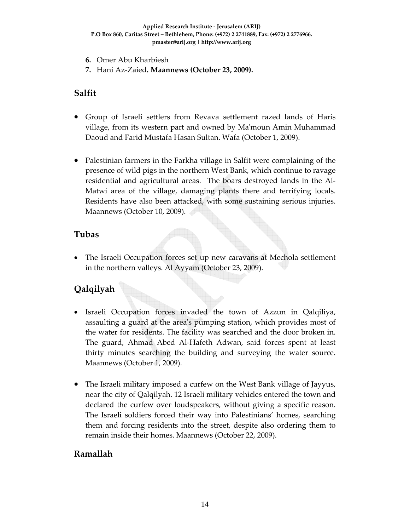- **6.** Omer Abu Kharbiesh
- **7.** Hani Az‐Zaied**. Maannews (October 23, 2009).**

#### **Salfit**

- Group of Israeli settlers from Revava settlement razed lands of Haris village, from its western part and owned by Maʹmoun Amin Muhammad Daoud and Farid Mustafa Hasan Sultan. Wafa (October 1, 2009).
- Palestinian farmers in the Farkha village in Salfit were complaining of the presence of wild pigs in the northern West Bank, which continue to ravage residential and agricultural areas. The boars destroyed lands in the Al‐ Matwi area of the village, damaging plants there and terrifying locals. Residents have also been attacked, with some sustaining serious injuries. Maannews (October 10, 2009).

## **Tubas**

• The Israeli Occupation forces set up new caravans at Mechola settlement in the northern valleys. Al Ayyam (October 23, 2009).

# **Qalqilyah**

- Israeli Occupation forces invaded the town of Azzun in Qalqiliya, assaulting a guard at the areaʹs pumping station, which provides most of the water for residents. The facility was searched and the door broken in. The guard, Ahmad Abed Al‐Hafeth Adwan, said forces spent at least thirty minutes searching the building and surveying the water source. Maannews (October 1, 2009).
- The Israeli military imposed a curfew on the West Bank village of Jayyus, near the city of Qalqilyah. 12 Israeli military vehicles entered the town and declared the curfew over loudspeakers, without giving a specific reason. The Israeli soldiers forced their way into Palestinians' homes, searching them and forcing residents into the street, despite also ordering them to remain inside their homes. Maannews (October 22, 2009).

## **Ramallah**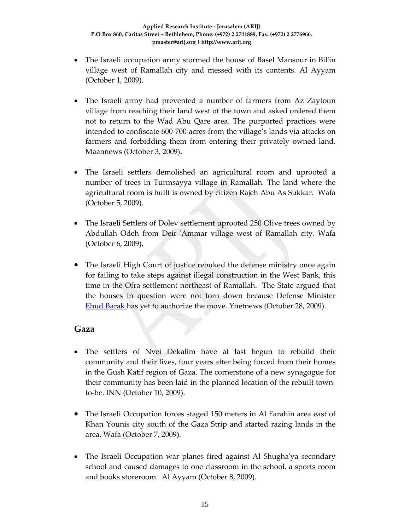- The Israeli occupation army stormed the house of Basel Mansour in Bil'in village west of Ramallah city and messed with its contents. Al Ayyam (October 1, 2009).
- The Israeli army had prevented a number of farmers from Az Zaytoun village from reaching their land west of the town and asked ordered them not to return to the Wad Abu Qare area. The purported practices were intended to confiscate 600‐700 acres from the village's lands via attacks on farmers and forbidding them from entering their privately owned land. Maannews (October 3, 2009)**.**
- The Israeli settlers demolished an agricultural room and uprooted a number of trees in Turmsayya village in Ramallah. The land where the agricultural room is built is owned by citizen Rajeh Abu As Sukkar. Wafa (October 5, 2009).
- The Israeli Settlers of Dolev settlement uprooted 250 Olive trees owned by Abdullah Odeh from Deir 'Ammar village west of Ramallah city. Wafa (October 6, 2009).
- The Israeli High Court of justice rebuked the defense ministry once again for failing to take steps against illegal construction in the West Bank, this time in the Ofra settlement northeast of Ramallah. The State argued that the houses in question were not torn down because Defense Minister **Ehud Barak has yet to authorize the move. Ynetnews (October 28, 2009).**

## **Gaza**

- The settlers of Nvei Dekalim have at last begun to rebuild their community and their lives, four years after being forced from their homes in the Gush Katif region of Gaza. The cornerstone of a new synagogue for their community has been laid in the planned location of the rebuilt town‐ to‐be. INN (October 10, 2009).
- The Israeli Occupation forces staged 150 meters in Al Farahin area east of Khan Younis city south of the Gaza Strip and started razing lands in the area. Wafa (October 7, 2009).
- The Israeli Occupation war planes fired against Al Shugha'ya secondary school and caused damages to one classroom in the school, a sports room and books storeroom. Al Ayyam (October 8, 2009).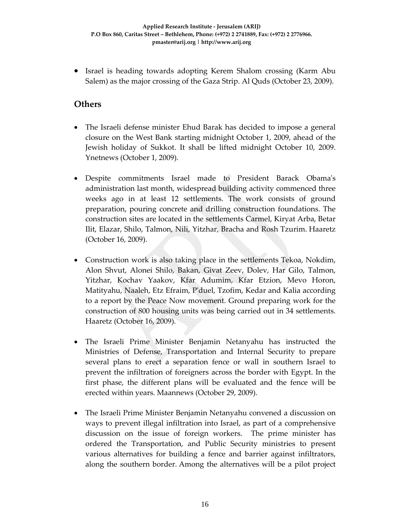• Israel is heading towards adopting Kerem Shalom crossing (Karm Abu Salem) as the major crossing of the Gaza Strip. Al Quds (October 23, 2009).

#### **Others**

- The Israeli defense minister Ehud Barak has decided to impose a general closure on the West Bank starting midnight October 1, 2009, ahead of the Jewish holiday of Sukkot. It shall be lifted midnight October 10, 2009. Ynetnews (October 1, 2009).
- Despite commitments Israel made to President Barack Obamaʹs administration last month, widespread building activity commenced three weeks ago in at least 12 settlements. The work consists of ground preparation, pouring concrete and drilling construction foundations. The construction sites are located in the settlements Carmel, Kiryat Arba, Betar Ilit, Elazar, Shilo, Talmon, Nili, Yitzhar, Bracha and Rosh Tzurim. Haaretz (October 16, 2009).
- Construction work is also taking place in the settlements Tekoa, Nokdim, Alon Shvut, Alonei Shilo, Bakan, Givat Zeev, Dolev, Har Gilo, Talmon, Yitzhar, Kochav Yaakov, Kfar Adumim, Kfar Etzion, Mevo Horon, Matityahu, Naaleh, Etz Efraim, Pʹduel, Tzofim, Kedar and Kalia according to a report by the Peace Now movement. Ground preparing work for the construction of 800 housing units was being carried out in 34 settlements. Haaretz (October 16, 2009).
- The Israeli Prime Minister Benjamin Netanyahu has instructed the Ministries of Defense, Transportation and Internal Security to prepare several plans to erect a separation fence or wall in southern Israel to prevent the infiltration of foreigners across the border with Egypt. In the first phase, the different plans will be evaluated and the fence will be erected within years. Maannews (October 29, 2009).
- The Israeli Prime Minister Benjamin Netanyahu convened a discussion on ways to prevent illegal infiltration into Israel, as part of a comprehensive discussion on the issue of foreign workers. The prime minister has ordered the Transportation, and Public Security ministries to present various alternatives for building a fence and barrier against infiltrators, along the southern border. Among the alternatives will be a pilot project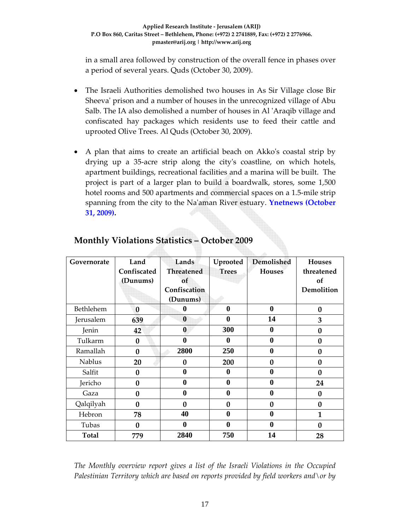in a small area followed by construction of the overall fence in phases over a period of several years. Quds (October 30, 2009).

- The Israeli Authorities demolished two houses in As Sir Village close Bir Sheeva' prison and a number of houses in the unrecognized village of Abu Salb. The IA also demolished a number of houses in Al ʹAraqib village and confiscated hay packages which residents use to feed their cattle and uprooted Olive Trees. Al Quds (October 30, 2009).
- A plan that aims to create an artificial beach on Akko's coastal strip by drying up a 35‐acre strip along the cityʹs coastline, on which hotels, apartment buildings, recreational facilities and a marina will be built. The project is part of a larger plan to build a boardwalk, stores, some 1,500 hotel rooms and 500 apartments and commercial spaces on a 1.5-mile strip spanning from the city to the Naʹaman River estuary. **Ynetnews (October 31, 2009).**

| Governorate   | Land        | Lands             | Uprooted         | Demolished    | <b>Houses</b>    |
|---------------|-------------|-------------------|------------------|---------------|------------------|
|               | Confiscated | <b>Threatened</b> | <b>Trees</b>     | <b>Houses</b> | threatened       |
|               | (Dunums)    | of                |                  |               | of               |
|               |             | Confiscation      |                  |               | Demolition       |
|               |             | (Dunums)          |                  |               |                  |
| Bethlehem     | 0           | 0                 | $\boldsymbol{0}$ | $\bf{0}$      | $\bf{0}$         |
| Jerusalem     | 639         | $\boldsymbol{0}$  | $\boldsymbol{0}$ | 14            | 3                |
| Jenin         | 42          | $\boldsymbol{0}$  | 300              | $\bf{0}$      | $\bf{0}$         |
| Tulkarm       | $\bf{0}$    | $\bf{0}$          | $\boldsymbol{0}$ | $\bf{0}$      | $\bf{0}$         |
| Ramallah      | 0           | 2800              | 250              | $\bf{0}$      | $\bf{0}$         |
| <b>Nablus</b> | 20          | 0                 | 200              | 0             | $\bf{0}$         |
| Salfit        | $\bf{0}$    | $\mathbf{0}$      | 0                | 0             | $\bf{0}$         |
| Jericho       | $\bf{0}$    | $\bf{0}$          | $\bf{0}$         | 0             | 24               |
| Gaza          | 0           | $\boldsymbol{0}$  | $\boldsymbol{0}$ | 0             | 0                |
| Qalqilyah     | 0           | $\bf{0}$          | $\bf{0}$         | $\bf{0}$      | $\bf{0}$         |
| Hebron        | 78          | 40                | $\bf{0}$         | $\bf{0}$      | 1                |
| Tubas         | 0           | $\bf{0}$          | $\bf{0}$         | 0             | $\boldsymbol{0}$ |
| <b>Total</b>  | 779         | 2840              | 750              | 14            | 28               |

## **Monthly Violations Statistics – October 2009**

*The Monthly overview report gives a list of the Israeli Violations in the Occupied Palestinian Territory which are based on reports provided by field workers and\or by*